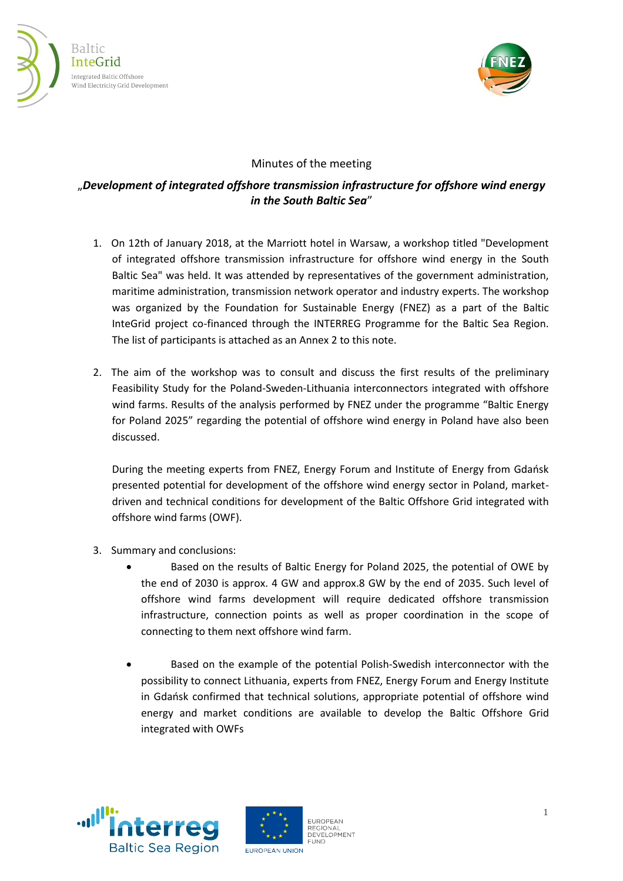



## Minutes of the meeting

## "*Development of integrated offshore transmission infrastructure for offshore wind energy in the South Baltic Sea*"

- 1. On 12th of January 2018, at the Marriott hotel in Warsaw, a workshop titled "Development of integrated offshore transmission infrastructure for offshore wind energy in the South Baltic Sea" was held. It was attended by representatives of the government administration, maritime administration, transmission network operator and industry experts. The workshop was organized by the Foundation for Sustainable Energy (FNEZ) as a part of the Baltic InteGrid project co-financed through the INTERREG Programme for the Baltic Sea Region. The list of participants is attached as an Annex 2 to this note.
- 2. The aim of the workshop was to consult and discuss the first results of the preliminary Feasibility Study for the Poland-Sweden-Lithuania interconnectors integrated with offshore wind farms. Results of the analysis performed by FNEZ under the programme "Baltic Energy for Poland 2025" regarding the potential of offshore wind energy in Poland have also been discussed.

During the meeting experts from FNEZ, Energy Forum and Institute of Energy from Gdańsk presented potential for development of the offshore wind energy sector in Poland, marketdriven and technical conditions for development of the Baltic Offshore Grid integrated with offshore wind farms (OWF).

- 3. Summary and conclusions:
	- Based on the results of Baltic Energy for Poland 2025, the potential of OWE by the end of 2030 is approx. 4 GW and approx.8 GW by the end of 2035. Such level of offshore wind farms development will require dedicated offshore transmission infrastructure, connection points as well as proper coordination in the scope of connecting to them next offshore wind farm.
	- Based on the example of the potential Polish-Swedish interconnector with the possibility to connect Lithuania, experts from FNEZ, Energy Forum and Energy Institute in Gdańsk confirmed that technical solutions, appropriate potential of offshore wind energy and market conditions are available to develop the Baltic Offshore Grid integrated with OWFs